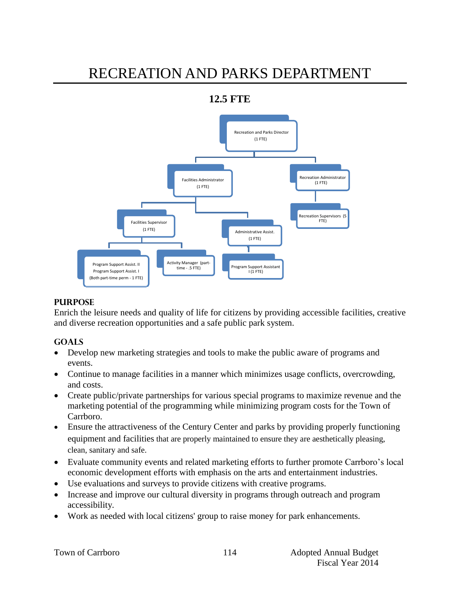# RECREATION AND PARKS DEPARTMENT

## **12.5 FTE**



#### **PURPOSE**

Enrich the leisure needs and quality of life for citizens by providing accessible facilities, creative and diverse recreation opportunities and a safe public park system.

#### **GOALS**

- Develop new marketing strategies and tools to make the public aware of programs and events.
- Continue to manage facilities in a manner which minimizes usage conflicts, overcrowding, and costs.
- Create public/private partnerships for various special programs to maximize revenue and the marketing potential of the programming while minimizing program costs for the Town of Carrboro.
- Ensure the attractiveness of the Century Center and parks by providing properly functioning equipment and facilities that are properly maintained to ensure they are aesthetically pleasing, clean, sanitary and safe.
- Evaluate community events and related marketing efforts to further promote Carrboro's local economic development efforts with emphasis on the arts and entertainment industries.
- Use evaluations and surveys to provide citizens with creative programs.
- Increase and improve our cultural diversity in programs through outreach and program accessibility.
- Work as needed with local citizens' group to raise money for park enhancements.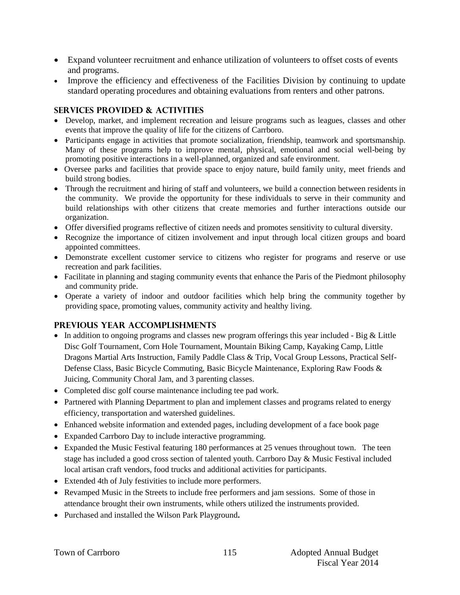- Expand volunteer recruitment and enhance utilization of volunteers to offset costs of events and programs.
- Improve the efficiency and effectiveness of the Facilities Division by continuing to update standard operating procedures and obtaining evaluations from renters and other patrons.

#### **SERVICES PROVIDED & ACTIVITIES**

- Develop, market, and implement recreation and leisure programs such as leagues, classes and other events that improve the quality of life for the citizens of Carrboro.
- Participants engage in activities that promote socialization, friendship, teamwork and sportsmanship. Many of these programs help to improve mental, physical, emotional and social well-being by promoting positive interactions in a well-planned, organized and safe environment.
- Oversee parks and facilities that provide space to enjoy nature, build family unity, meet friends and build strong bodies.
- Through the recruitment and hiring of staff and volunteers, we build a connection between residents in the community. We provide the opportunity for these individuals to serve in their community and build relationships with other citizens that create memories and further interactions outside our organization.
- Offer diversified programs reflective of citizen needs and promotes sensitivity to cultural diversity.
- Recognize the importance of citizen involvement and input through local citizen groups and board appointed committees.
- Demonstrate excellent customer service to citizens who register for programs and reserve or use recreation and park facilities.
- Facilitate in planning and staging community events that enhance the Paris of the Piedmont philosophy and community pride.
- Operate a variety of indoor and outdoor facilities which help bring the community together by providing space, promoting values, community activity and healthy living.

#### **PREVIOUS YEAR ACCOMPLISHMENTS**

- $\bullet$  In addition to ongoing programs and classes new program offerings this year included Big & Little Disc Golf Tournament, Corn Hole Tournament, Mountain Biking Camp, Kayaking Camp, Little Dragons Martial Arts Instruction, Family Paddle Class & Trip, Vocal Group Lessons, Practical Self-Defense Class, Basic Bicycle Commuting, Basic Bicycle Maintenance, Exploring Raw Foods & Juicing, Community Choral Jam, and 3 parenting classes.
- Completed disc golf course maintenance including tee pad work.
- Partnered with Planning Department to plan and implement classes and programs related to energy efficiency, transportation and watershed guidelines.
- Enhanced website information and extended pages, including development of a face book page
- Expanded Carrboro Day to include interactive programming.
- Expanded the Music Festival featuring 180 performances at 25 venues throughout town. The teen stage has included a good cross section of talented youth. Carrboro Day & Music Festival included local artisan craft vendors, food trucks and additional activities for participants.
- Extended 4th of July festivities to include more performers.
- Revamped Music in the Streets to include free performers and jam sessions. Some of those in attendance brought their own instruments, while others utilized the instruments provided.
- Purchased and installed the Wilson Park Playground**.**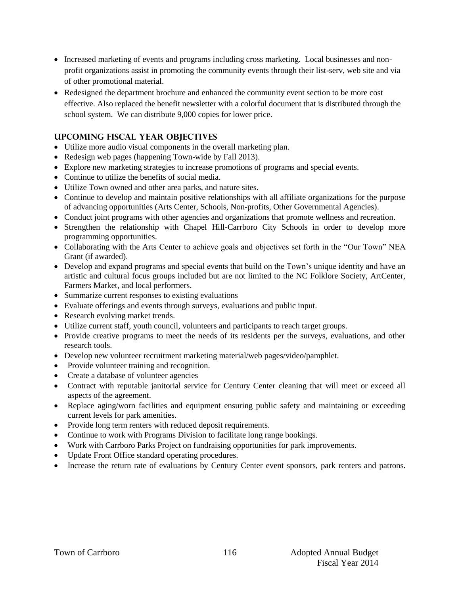- Increased marketing of events and programs including cross marketing. Local businesses and nonprofit organizations assist in promoting the community events through their list-serv, web site and via of other promotional material.
- Redesigned the department brochure and enhanced the community event section to be more cost effective. Also replaced the benefit newsletter with a colorful document that is distributed through the school system. We can distribute 9,000 copies for lower price.

## **UPCOMING FISCAL YEAR OBJECTIVES**

- Utilize more audio visual components in the overall marketing plan.
- Redesign web pages (happening Town-wide by Fall 2013).
- Explore new marketing strategies to increase promotions of programs and special events.
- Continue to utilize the benefits of social media.
- Utilize Town owned and other area parks, and nature sites.
- Continue to develop and maintain positive relationships with all affiliate organizations for the purpose of advancing opportunities (Arts Center, Schools, Non-profits, Other Governmental Agencies).
- Conduct joint programs with other agencies and organizations that promote wellness and recreation.
- Strengthen the relationship with Chapel Hill-Carrboro City Schools in order to develop more programming opportunities.
- Collaborating with the Arts Center to achieve goals and objectives set forth in the "Our Town" NEA Grant (if awarded).
- Develop and expand programs and special events that build on the Town's unique identity and have an artistic and cultural focus groups included but are not limited to the NC Folklore Society, ArtCenter, Farmers Market, and local performers.
- Summarize current responses to existing evaluations
- Evaluate offerings and events through surveys, evaluations and public input.
- Research evolving market trends.
- Utilize current staff, youth council, volunteers and participants to reach target groups.
- Provide creative programs to meet the needs of its residents per the surveys, evaluations, and other research tools.
- Develop new volunteer recruitment marketing material/web pages/video/pamphlet.
- Provide volunteer training and recognition.
- Create a database of volunteer agencies
- Contract with reputable janitorial service for Century Center cleaning that will meet or exceed all aspects of the agreement.
- Replace aging/worn facilities and equipment ensuring public safety and maintaining or exceeding current levels for park amenities.
- Provide long term renters with reduced deposit requirements.
- Continue to work with Programs Division to facilitate long range bookings.
- Work with Carrboro Parks Project on fundraising opportunities for park improvements.
- Update Front Office standard operating procedures.
- Increase the return rate of evaluations by Century Center event sponsors, park renters and patrons.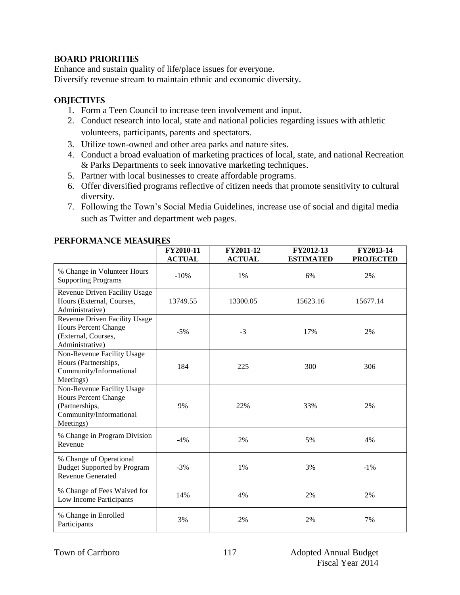#### **BOARD PRIORITIES**

Enhance and sustain quality of life/place issues for everyone. Diversify revenue stream to maintain ethnic and economic diversity.

#### **OBJECTIVES**

- 1. Form a Teen Council to increase teen involvement and input.
- 2. Conduct research into local, state and national policies regarding issues with athletic volunteers, participants, parents and spectators.
- 3. Utilize town-owned and other area parks and nature sites.
- 4. Conduct a broad evaluation of marketing practices of local, state, and national Recreation & Parks Departments to seek innovative marketing techniques.
- 5. Partner with local businesses to create affordable programs.
- 6. Offer diversified programs reflective of citizen needs that promote sensitivity to cultural diversity.
- 7. Following the Town's Social Media Guidelines, increase use of social and digital media such as Twitter and department web pages.

|                                                                                                                     | FY2010-11<br><b>ACTUAL</b> | FY2011-12<br><b>ACTUAL</b> | FY2012-13<br><b>ESTIMATED</b> | FY2013-14<br><b>PROJECTED</b> |
|---------------------------------------------------------------------------------------------------------------------|----------------------------|----------------------------|-------------------------------|-------------------------------|
| % Change in Volunteer Hours<br><b>Supporting Programs</b>                                                           | $-10%$                     | 1%                         | 6%                            | 2%                            |
| Revenue Driven Facility Usage<br>Hours (External, Courses,<br>Administrative)                                       | 13749.55                   | 13300.05                   | 15623.16                      | 15677.14                      |
| Revenue Driven Facility Usage<br>Hours Percent Change<br>(External, Courses,<br>Administrative)                     | $-5%$                      | $-3$                       | 17%                           | 2%                            |
| Non-Revenue Facility Usage<br>Hours (Partnerships,<br>Community/Informational<br>Meetings)                          | 184                        | 225                        | 300                           | 306                           |
| Non-Revenue Facility Usage<br><b>Hours Percent Change</b><br>(Partnerships,<br>Community/Informational<br>Meetings) | 9%                         | 22%                        | 33%                           | 2%                            |
| % Change in Program Division<br>Revenue                                                                             | $-4%$                      | 2%                         | 5%                            | 4%                            |
| % Change of Operational<br><b>Budget Supported by Program</b><br><b>Revenue Generated</b>                           | $-3%$                      | 1%                         | 3%                            | $-1\%$                        |
| % Change of Fees Waived for<br>Low Income Participants                                                              | 14%                        | 4%                         | 2%                            | 2%                            |
| % Change in Enrolled<br>Participants                                                                                | 3%                         | 2%                         | 2%                            | 7%                            |

#### **Performance Measures**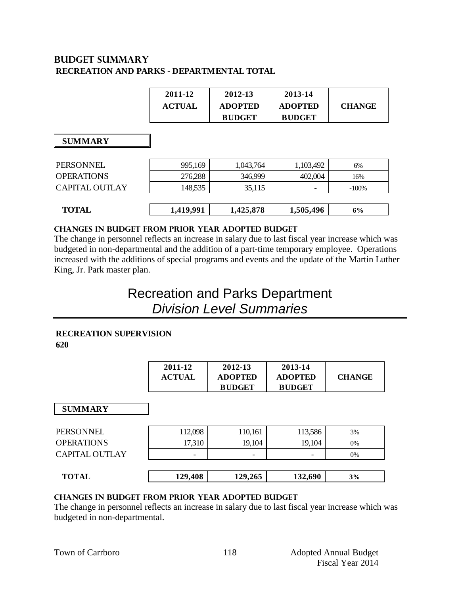## **BUDGET summary RECREATION AND PARKS - DEPARTMENTAL TOTAL**

| 2011-12       | 2012-13        | 2013-14        |               |
|---------------|----------------|----------------|---------------|
| <b>ACTUAL</b> | <b>ADOPTED</b> | <b>ADOPTED</b> | <b>CHANGE</b> |
|               | <b>BUDGET</b>  | <b>BUDGET</b>  |               |

#### **SUMMARY**

| <b>TOTAL</b>      | 1,419,991 | 1,425,878 | 1,505,496                | 6%      |
|-------------------|-----------|-----------|--------------------------|---------|
| CAPITAL OUTLAY    | 148,535   | 35,115    | $\overline{\phantom{0}}$ | $-100%$ |
| <b>OPERATIONS</b> | 276,288   | 346,999   | 402,004                  | 16%     |
| PERSONNEL         | 995,169   | 1,043,764 | 1,103,492                | 6%      |

#### **CHANGES IN BUDGET from PRIOR YEAR ADOPTED BUDGET**

The change in personnel reflects an increase in salary due to last fiscal year increase which was budgeted in non-departmental and the addition of a part-time temporary employee. Operations increased with the additions of special programs and events and the update of the Martin Luther King, Jr. Park master plan.

## Recreation and Parks Department *Division Level Summaries*

#### **RECREATION SUPERVISION**

**620**

| 2011-12       | 2012-13        | 2013-14        |               |
|---------------|----------------|----------------|---------------|
| <b>ACTUAL</b> | <b>ADOPTED</b> | <b>ADOPTED</b> | <b>CHANGE</b> |
|               | <b>BUDGET</b>  | <b>BUDGET</b>  |               |

 **SUMMARY**

| PERSONNEL         | 112,098                  | 110,161                  | 113,586                  | 3% |
|-------------------|--------------------------|--------------------------|--------------------------|----|
| <b>OPERATIONS</b> | 17,310                   | 19,104                   | 19,104                   | 0% |
| CAPITAL OUTLAY    | $\overline{\phantom{0}}$ | $\overline{\phantom{0}}$ | $\overline{\phantom{0}}$ | 0% |
|                   |                          |                          |                          |    |
| <b>TOTAL</b>      | 129,408                  | 129,265                  | 132,690                  | 3% |
|                   |                          |                          |                          |    |

| <b>TOTAL</b><br>IAL<br>. . | ,408<br>$\partial \mathbf{0}$ .<br>. . | 129,265 | .690<br>$\sim$ $\sim$ | 3% |
|----------------------------|----------------------------------------|---------|-----------------------|----|
|                            |                                        |         |                       |    |

#### **changes in budget from prior year adopted budget**

The change in personnel reflects an increase in salary due to last fiscal year increase which was budgeted in non-departmental.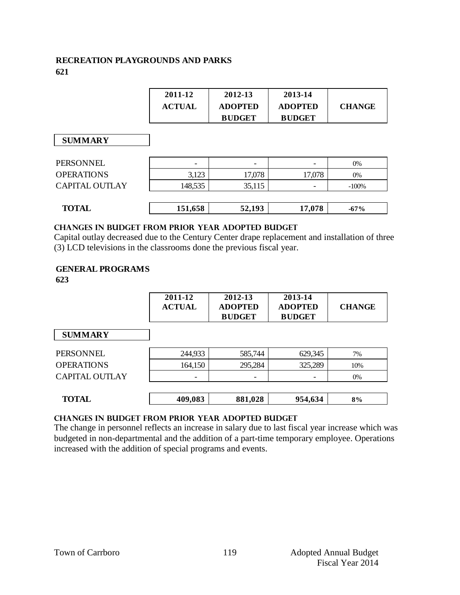## **RECREATION PLAYGROUNDS AND PARKS 621**

| 2011-12       | 2012-13        | 2013-14        |               |
|---------------|----------------|----------------|---------------|
| <b>ACTUAL</b> | <b>ADOPTED</b> | <b>ADOPTED</b> | <b>CHANGE</b> |
|               | <b>BUDGET</b>  | <b>BUDGET</b>  |               |

| <b>TOTAL</b>          | 151,658                  | 52,193 | 17,078                   | $-67\%$  |
|-----------------------|--------------------------|--------|--------------------------|----------|
| <b>CAPITAL OUTLAY</b> | 148,535                  | 35,115 | $\overline{\phantom{0}}$ | $-100\%$ |
| <b>OPERATIONS</b>     | 3,123                    | 17,078 | 17,078                   | $0\%$    |
| PERSONNEL             | $\overline{\phantom{0}}$ |        | $\overline{\phantom{0}}$ | $0\%$    |

#### **changes in budget from prior year adopted budget**

Capital outlay decreased due to the Century Center drape replacement and installation of three (3) LCD televisions in the classrooms done the previous fiscal year.

#### **GENERAL PROGRAMS**

**623**

|                       | 2011-12<br><b>ACTUAL</b> | 2012-13<br><b>ADOPTED</b><br><b>BUDGET</b> | 2013-14<br><b>ADOPTED</b><br><b>BUDGET</b> | <b>CHANGE</b> |
|-----------------------|--------------------------|--------------------------------------------|--------------------------------------------|---------------|
| <b>SUMMARY</b>        |                          |                                            |                                            |               |
| PERSONNEL             | 244,933                  | 585,744                                    | 629,345                                    | 7%            |
| <b>OPERATIONS</b>     | 164,150                  | 295,284                                    | 325,289                                    | 10%           |
| <b>CAPITAL OUTLAY</b> | -                        |                                            |                                            | 0%            |
| <b>TOTAL</b>          | 409,083                  | 881,028                                    | 954,634                                    | 8%            |

## **Changes in budget from prior year adopted budget**

The change in personnel reflects an increase in salary due to last fiscal year increase which was budgeted in non-departmental and the addition of a part-time temporary employee. Operations increased with the addition of special programs and events.